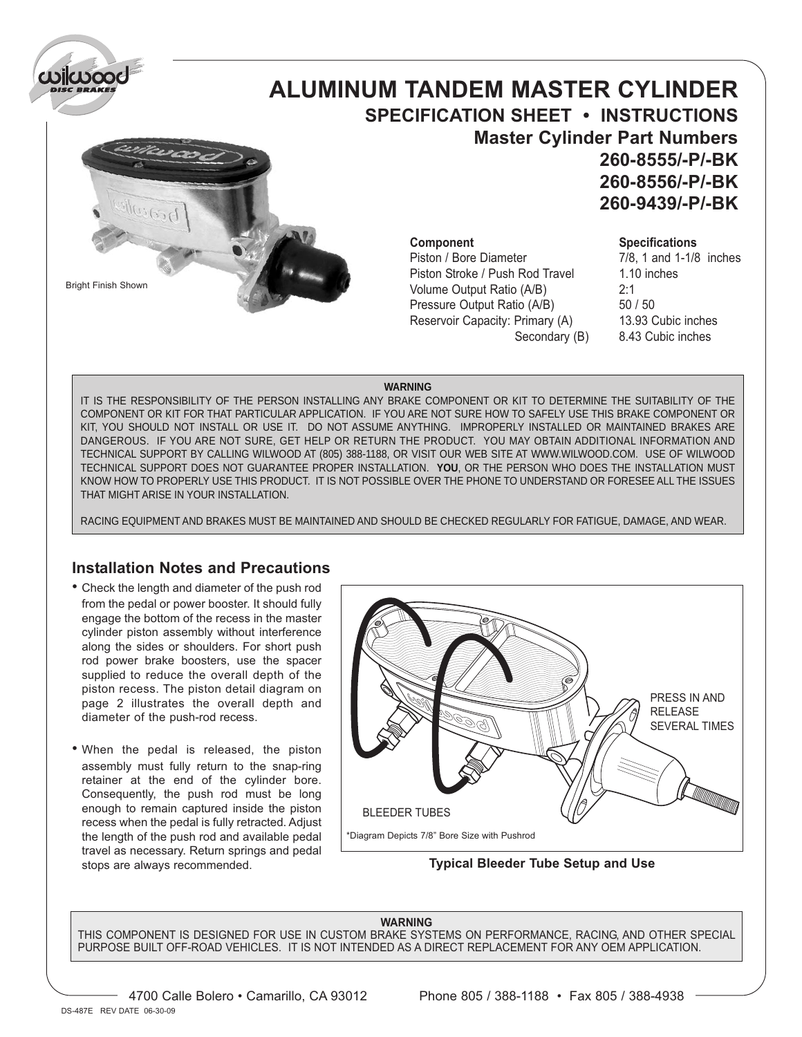

Bright Finish Shown

# **ALUMINUM TANDEM MASTER CYLINDER SPECIFICATION SHEET • INSTRUCTIONS Master Cylinder Part Numbers 260-8555/-P/-BK 260-8556/-P/-BK 260-9439/-P/-BK**

Piston Stroke / Push Rod Travel 1.10 inches Volume Output Ratio (A/B) 2:1 Pressure Output Ratio (A/B) 50 / 50 Reservoir Capacity: Primary (A) 13.93 Cubic inches

### **Component Specifications**

Piston / Bore Diameter 7/8, 1 and 1-1/8 inches Secondary (B) 8.43 Cubic inches

### **WARNING**

IT IS THE RESPONSIBILITY OF THE PERSON INSTALLING ANY BRAKE COMPONENT OR KIT TO DETERMINE THE SUITABILITY OF THE COMPONENT OR KIT FOR THAT PARTICULAR APPLICATION. IF YOU ARE NOT SURE HOW TO SAFELY USE THIS BRAKE COMPONENT OR KIT, YOU SHOULD NOT INSTALL OR USE IT. DO NOT ASSUME ANYTHING. IMPROPERLY INSTALLED OR MAINTAINED BRAKES ARE DANGEROUS. IF YOU ARE NOT SURE, GET HELP OR RETURN THE PRODUCT. YOU MAY OBTAIN ADDITIONAL INFORMATION AND TECHNICAL SUPPORT BY CALLING WILWOOD AT (805) 388-1188, OR VISIT OUR WEB SITE AT WWW.WILWOOD.COM. USE OF WILWOOD TECHNICAL SUPPORT DOES NOT GUARANTEE PROPER INSTALLATION. **YOU**, OR THE PERSON WHO DOES THE INSTALLATION MUST KNOW HOW TO PROPERLY USE THIS PRODUCT. IT IS NOT POSSIBLE OVER THE PHONE TO UNDERSTAND OR FORESEE ALL THE ISSUES THAT MIGHT ARISE IN YOUR INSTALLATION.

RACING EQUIPMENT AND BRAKES MUST BE MAINTAINED AND SHOULD BE CHECKED REGULARLY FOR FATIGUE, DAMAGE, AND WEAR.

### **Installation Notes and Precautions**

- Check the length and diameter of the push rod from the pedal or power booster. It should fully engage the bottom of the recess in the master cylinder piston assembly without interference along the sides or shoulders. For short push rod power brake boosters, use the spacer supplied to reduce the overall depth of the piston recess. The piston detail diagram on page 2 illustrates the overall depth and diameter of the push-rod recess.
- When the pedal is released, the piston assembly must fully return to the snap-ring retainer at the end of the cylinder bore. Consequently, the push rod must be long enough to remain captured inside the piston recess when the pedal is fully retracted. Adjust the length of the push rod and available pedal travel as necessary. Return springs and pedal stops are always recommended.



**Typical Bleeder Tube Setup and Use**

### **WARNING**

THIS COMPONENT IS DESIGNED FOR USE IN CUSTOM BRAKE SYSTEMS ON PERFORMANCE, RACING, AND OTHER SPECIAL PURPOSE BUILT OFF-ROAD VEHICLES. IT IS NOT INTENDED AS A DIRECT REPLACEMENT FOR ANY OEM APPLICATION.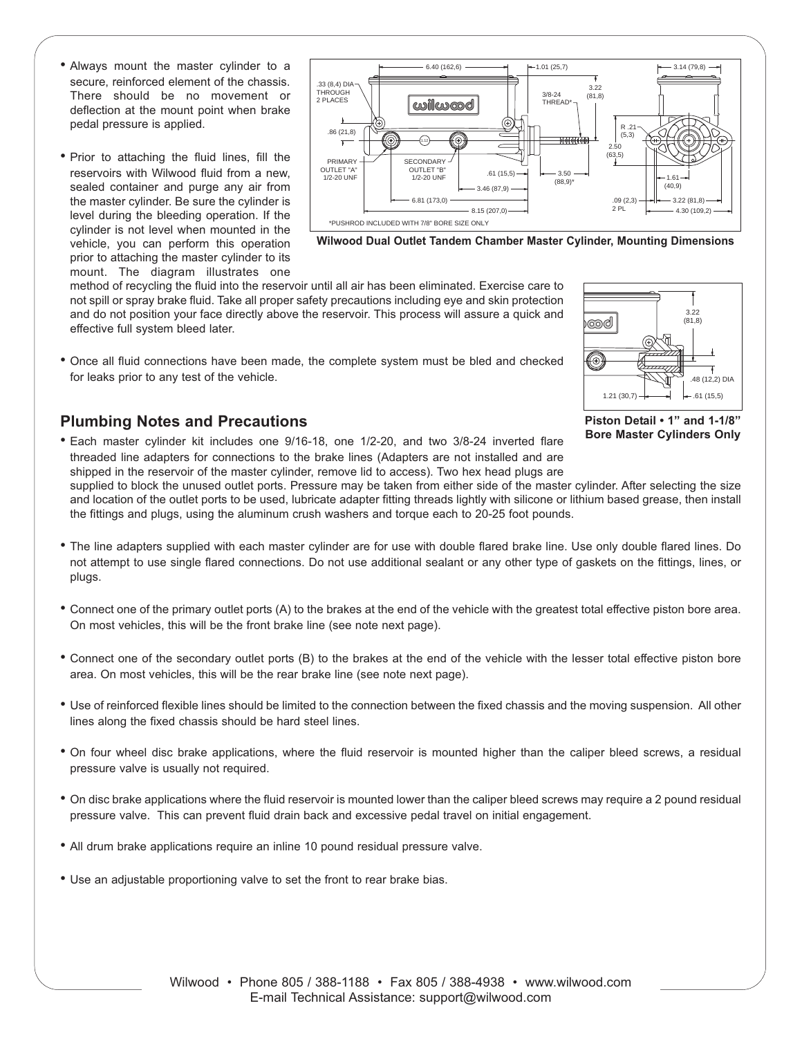- Always mount the master cylinder to a secure, reinforced element of the chassis. There should be no movement or deflection at the mount point when brake pedal pressure is applied.
- Prior to attaching the fluid lines, fill the reservoirs with Wilwood fluid from a new, sealed container and purge any air from the master cylinder. Be sure the cylinder is level during the bleeding operation. If the cylinder is not level when mounted in the vehicle, you can perform this operation prior to attaching the master cylinder to its mount. The diagram illustrates one



**Wilwood Dual Outlet Tandem Chamber Master Cylinder, Mounting Dimensions**

method of recycling the fluid into the reservoir until all air has been eliminated. Exercise care to not spill or spray brake fluid. Take all proper safety precautions including eye and skin protection and do not position your face directly above the reservoir. This process will assure a quick and effective full system bleed later.

• Once all fluid connections have been made, the complete system must be bled and checked 1 for leaks prior to any test of the vehicle.

# **Plumbing Notes and Precautions**

• Each master cylinder kit includes one 9/16-18, one 1/2-20, and two 3/8-24 inverted flare threaded line adapters for connections to the brake lines (Adapters are not installed and are shipped in the reservoir of the master cylinder, remove lid to access). Two hex head plugs are

 $\circledast$ .48 (12,2) DIA  $1.21(30.7)$   $\rightarrow$   $\rightarrow$   $\rightarrow$  61(15.5) **Piston Detail • 1" and 1-1/8" Bore Master Cylinders Only**

ාලාල්

3.22 (81,8)

supplied to block the unused outlet ports. Pressure may be taken from either side of the master cylinder. After selecting the size and location of the outlet ports to be used, lubricate adapter fitting threads lightly with silicone or lithium based grease, then install the fittings and plugs, using the aluminum crush washers and torque each to 20-25 foot pounds.

- The line adapters supplied with each master cylinder are for use with double flared brake line. Use only double flared lines. Do not attempt to use single flared connections. Do not use additional sealant or any other type of gaskets on the fittings, lines, or plugs.
- Connect one of the primary outlet ports (A) to the brakes at the end of the vehicle with the greatest total effective piston bore area. On most vehicles, this will be the front brake line (see note next page).
- Connect one of the secondary outlet ports (B) to the brakes at the end of the vehicle with the lesser total effective piston bore area. On most vehicles, this will be the rear brake line (see note next page).
- Use of reinforced flexible lines should be limited to the connection between the fixed chassis and the moving suspension. All other lines along the fixed chassis should be hard steel lines.
- On four wheel disc brake applications, where the fluid reservoir is mounted higher than the caliper bleed screws, a residual pressure valve is usually not required.
- On disc brake applications where the fluid reservoir is mounted lower than the caliper bleed screws may require a 2 pound residual pressure valve. This can prevent fluid drain back and excessive pedal travel on initial engagement.
- All drum brake applications require an inline 10 pound residual pressure valve.
- Use an adjustable proportioning valve to set the front to rear brake bias.